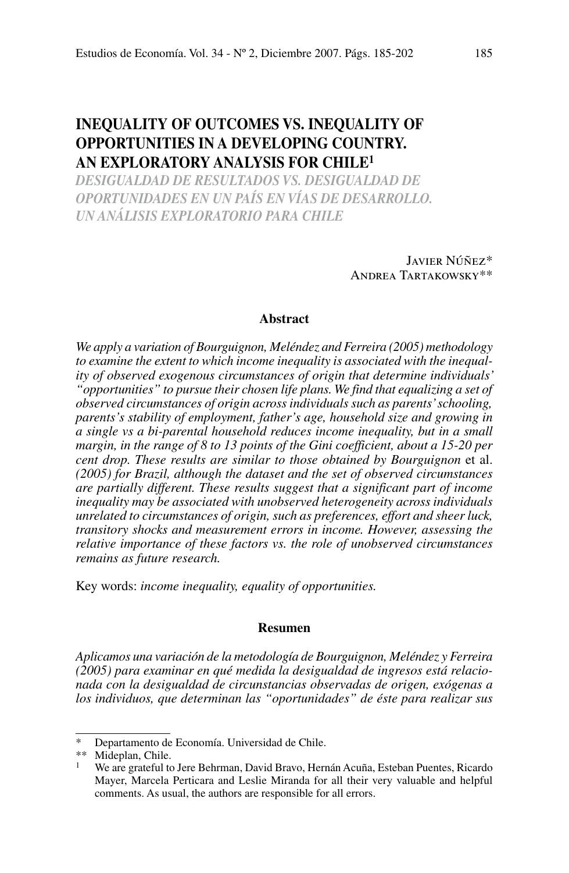# **Inequality of Outcomes vs. Inequality of Opportunities in a Developing Country. An exploratory analysis for Chile1**

*desigualdad de resultados vs. desigualdad de oportunidades en un país en vías de desarrollo. un análisis exploratorio para chile*

> Javier Núñez\* Andrea Tartakowsky\*\*

# **Abstract**

*We apply a variation of Bourguignon, Meléndez and Ferreira (2005) methodology to examine the extent to which income inequality is associated with the inequality of observed exogenous circumstances of origin that determine individuals' "opportunities" to pursue their chosen life plans. We find that equalizing a set of observed circumstances of origin across individuals such as parents' schooling, parents's stability of employment, father's age, household size and growing in a single vs a bi-parental household reduces income inequality, but in a small margin, in the range of 8 to 13 points of the Gini coefficient, about a 15-20 per cent drop. These results are similar to those obtained by Bourguignon* et al. *(2005) for Brazil, although the dataset and the set of observed circumstances are partially different. These results suggest that a significant part of income inequality may be associated with unobserved heterogeneity across individuals unrelated to circumstances of origin, such as preferences, effort and sheer luck, transitory shocks and measurement errors in income. However, assessing the relative importance of these factors vs. the role of unobserved circumstances remains as future research.*

Key words: *income inequality, equality of opportunities.*

### **Resumen**

*Aplicamos una variación de la metodología de Bourguignon, Meléndez y Ferreira (2005) para examinar en qué medida la desigualdad de ingresos está relacionada con la desigualdad de circunstancias observadas de origen, exógenas a los individuos, que determinan las "oportunidades" de éste para realizar sus* 

Departamento de Economía. Universidad de Chile.

<sup>\*\*</sup> Mideplan, Chile.

<sup>1</sup> We are grateful to Jere Behrman, David Bravo, Hernán Acuña, Esteban Puentes, Ricardo Mayer, Marcela Perticara and Leslie Miranda for all their very valuable and helpful comments. As usual, the authors are responsible for all errors.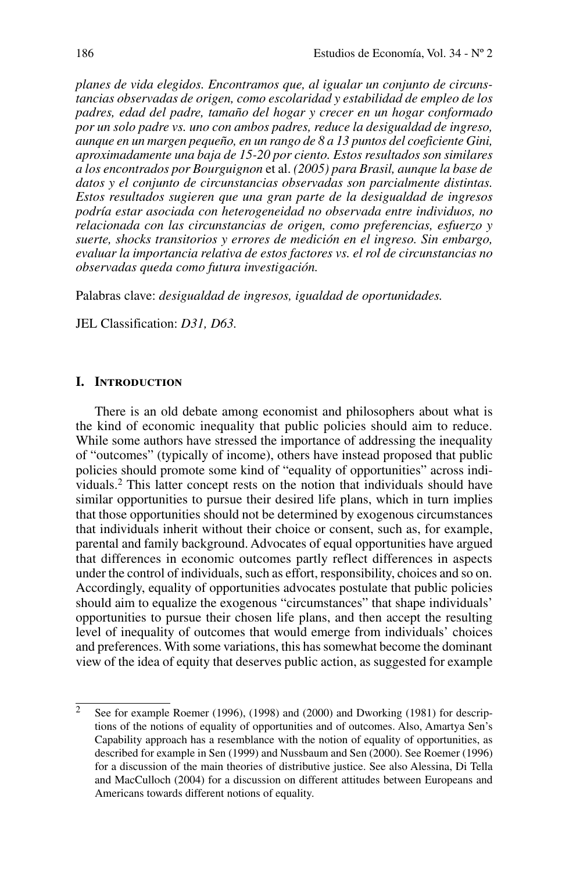*planes de vida elegidos. Encontramos que, al igualar un conjunto de circunstancias observadas de origen, como escolaridad y estabilidad de empleo de los padres, edad del padre, tamaño del hogar y crecer en un hogar conformado por un solo padre vs. uno con ambos padres, reduce la desigualdad de ingreso, aunque en un margen pequeño, en un rango de 8 a 13 puntos del coeficiente Gini, aproximadamente una baja de 15-20 por ciento. Estos resultados son similares a los encontrados por Bourguignon* et al. *(2005) para Brasil, aunque la base de datos y el conjunto de circunstancias observadas son parcialmente distintas. Estos resultados sugieren que una gran parte de la desigualdad de ingresos podría estar asociada con heterogeneidad no observada entre individuos, no relacionada con las circunstancias de origen, como preferencias, esfuerzo y suerte, shocks transitorios y errores de medición en el ingreso. Sin embargo, evaluar la importancia relativa de estos factores vs. el rol de circunstancias no observadas queda como futura investigación.*

Palabras clave: *desigualdad de ingresos, igualdad de oportunidades.*

JEL Classification: *D31, D63.*

### **I. Introduction**

There is an old debate among economist and philosophers about what is the kind of economic inequality that public policies should aim to reduce. While some authors have stressed the importance of addressing the inequality of "outcomes" (typically of income), others have instead proposed that public policies should promote some kind of "equality of opportunities" across individuals.2 This latter concept rests on the notion that individuals should have similar opportunities to pursue their desired life plans, which in turn implies that those opportunities should not be determined by exogenous circumstances that individuals inherit without their choice or consent, such as, for example, parental and family background. Advocates of equal opportunities have argued that differences in economic outcomes partly reflect differences in aspects under the control of individuals, such as effort, responsibility, choices and so on. Accordingly, equality of opportunities advocates postulate that public policies should aim to equalize the exogenous "circumstances" that shape individuals' opportunities to pursue their chosen life plans, and then accept the resulting level of inequality of outcomes that would emerge from individuals' choices and preferences. With some variations, this has somewhat become the dominant view of the idea of equity that deserves public action, as suggested for example

 $\overline{2}$  See for example Roemer (1996), (1998) and (2000) and Dworking (1981) for descriptions of the notions of equality of opportunities and of outcomes. Also, Amartya Sen's Capability approach has a resemblance with the notion of equality of opportunities, as described for example in Sen (1999) and Nussbaum and Sen (2000). See Roemer (1996) for a discussion of the main theories of distributive justice. See also Alessina, Di Tella and MacCulloch (2004) for a discussion on different attitudes between Europeans and Americans towards different notions of equality.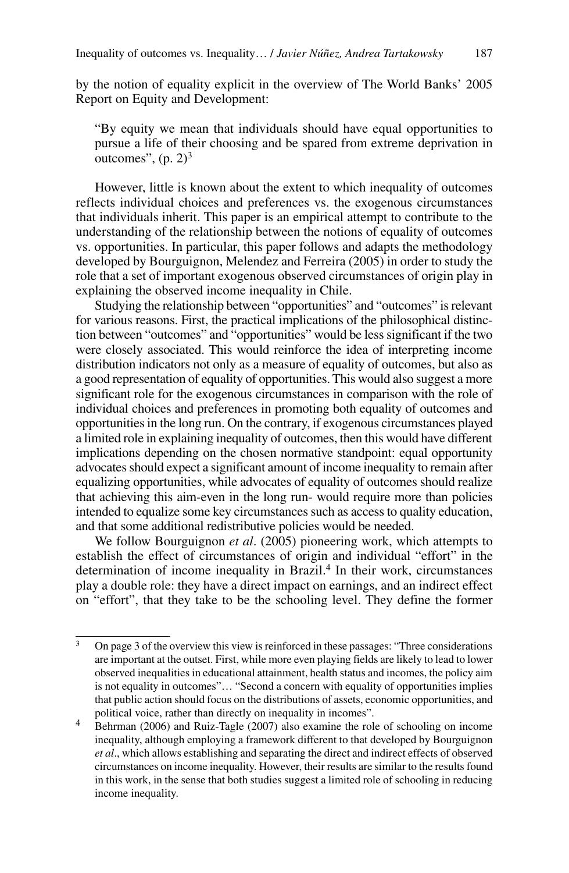by the notion of equality explicit in the overview of The World Banks' 2005 Report on Equity and Development:

"By equity we mean that individuals should have equal opportunities to pursue a life of their choosing and be spared from extreme deprivation in outcomes",  $(p, 2)^3$ 

However, little is known about the extent to which inequality of outcomes reflects individual choices and preferences vs. the exogenous circumstances that individuals inherit. This paper is an empirical attempt to contribute to the understanding of the relationship between the notions of equality of outcomes vs. opportunities. In particular, this paper follows and adapts the methodology developed by Bourguignon, Melendez and Ferreira (2005) in order to study the role that a set of important exogenous observed circumstances of origin play in explaining the observed income inequality in Chile.

Studying the relationship between "opportunities" and "outcomes" is relevant for various reasons. First, the practical implications of the philosophical distinction between "outcomes" and "opportunities" would be less significant if the two were closely associated. This would reinforce the idea of interpreting income distribution indicators not only as a measure of equality of outcomes, but also as a good representation of equality of opportunities. This would also suggest a more significant role for the exogenous circumstances in comparison with the role of individual choices and preferences in promoting both equality of outcomes and opportunities in the long run. On the contrary, if exogenous circumstances played a limited role in explaining inequality of outcomes, then this would have different implications depending on the chosen normative standpoint: equal opportunity advocates should expect a significant amount of income inequality to remain after equalizing opportunities, while advocates of equality of outcomes should realize that achieving this aim-even in the long run- would require more than policies intended to equalize some key circumstances such as access to quality education, and that some additional redistributive policies would be needed.

We follow Bourguignon *et al*. (2005) pioneering work, which attempts to establish the effect of circumstances of origin and individual "effort" in the determination of income inequality in Brazil.<sup>4</sup> In their work, circumstances play a double role: they have a direct impact on earnings, and an indirect effect on "effort", that they take to be the schooling level. They define the former

<sup>&</sup>lt;sup>3</sup> On page 3 of the overview this view is reinforced in these passages: "Three considerations are important at the outset. First, while more even playing fields are likely to lead to lower observed inequalities in educational attainment, health status and incomes, the policy aim is not equality in outcomes"… "Second a concern with equality of opportunities implies that public action should focus on the distributions of assets, economic opportunities, and political voice, rather than directly on inequality in incomes".

<sup>4</sup> Behrman (2006) and Ruiz-Tagle (2007) also examine the role of schooling on income inequality, although employing a framework different to that developed by Bourguignon *et al*., which allows establishing and separating the direct and indirect effects of observed circumstances on income inequality. However, their results are similar to the results found in this work, in the sense that both studies suggest a limited role of schooling in reducing income inequality.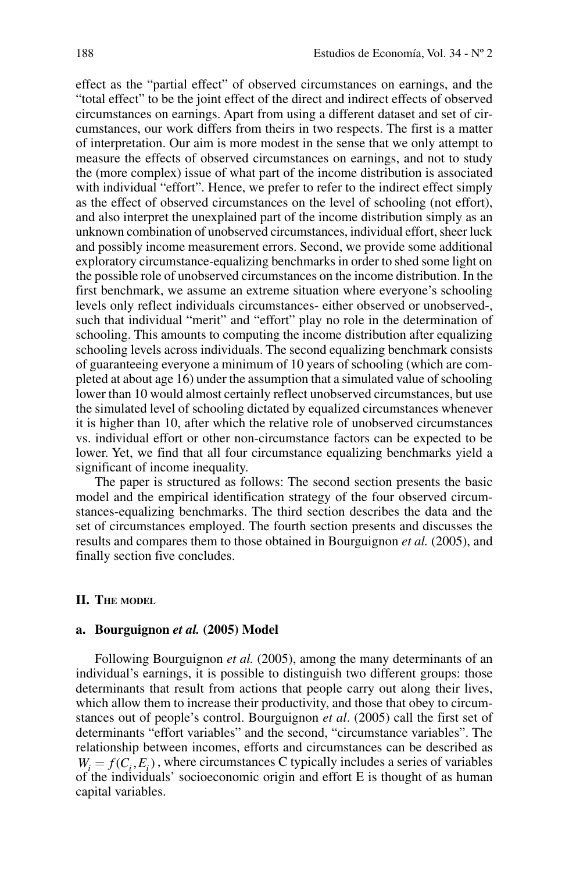effect as the "partial effect" of observed circumstances on earnings, and the "total effect" to be the joint effect of the direct and indirect effects of observed circumstances on earnings. Apart from using a different dataset and set of circumstances, our work differs from theirs in two respects. The first is a matter of interpretation. Our aim is more modest in the sense that we only attempt to measure the effects of observed circumstances on earnings, and not to study the (more complex) issue of what part of the income distribution is associated with individual "effort". Hence, we prefer to refer to the indirect effect simply as the effect of observed circumstances on the level of schooling (not effort), and also interpret the unexplained part of the income distribution simply as an unknown combination of unobserved circumstances, individual effort, sheer luck and possibly income measurement errors. Second, we provide some additional exploratory circumstance-equalizing benchmarks in order to shed some light on the possible role of unobserved circumstances on the income distribution. In the first benchmark, we assume an extreme situation where everyone's schooling levels only reflect individuals circumstances- either observed or unobserved-, such that individual "merit" and "effort" play no role in the determination of schooling. This amounts to computing the income distribution after equalizing schooling levels across individuals. The second equalizing benchmark consists of guaranteeing everyone a minimum of 10 years of schooling (which are completed at about age 16) under the assumption that a simulated value of schooling lower than 10 would almost certainly reflect unobserved circumstances, but use the simulated level of schooling dictated by equalized circumstances whenever it is higher than 10, after which the relative role of unobserved circumstances vs. individual effort or other non-circumstance factors can be expected to be lower. Yet, we find that all four circumstance equalizing benchmarks yield a significant of income inequality.

The paper is structured as follows: The second section presents the basic model and the empirical identification strategy of the four observed circumstances-equalizing benchmarks. The third section describes the data and the set of circumstances employed. The fourth section presents and discusses the results and compares them to those obtained in Bourguignon *et al.* (2005), and finally section five concludes.

### **II. The model**

# **a. Bourguignon** *et al.* **(2005) Model**

Following Bourguignon *et al.* (2005), among the many determinants of an individual's earnings, it is possible to distinguish two different groups: those determinants that result from actions that people carry out along their lives, which allow them to increase their productivity, and those that obey to circumstances out of people's control. Bourguignon *et al*. (2005) call the first set of determinants "effort variables" and the second, "circumstance variables". The relationship between incomes, efforts and circumstances can be described as  $W_i = f(C_i, E_i)$ , where circumstances C typically includes a series of variables of the individuals' socioeconomic origin and effort E is thought of as human capital variables.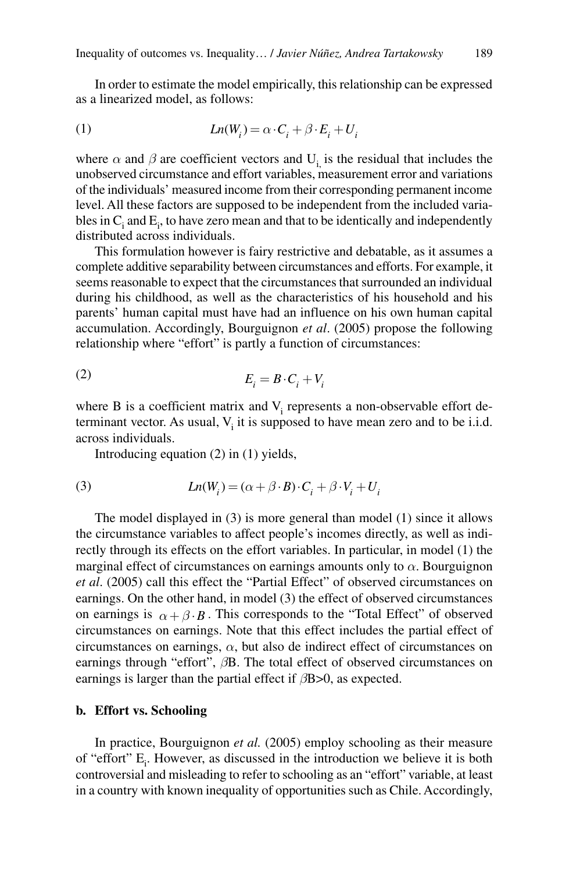In order to estimate the model empirically, this relationship can be expressed as a linearized model, as follows:

(1) 
$$
Ln(W_i) = \alpha \cdot C_i + \beta \cdot E_i + U_i
$$

where  $\alpha$  and  $\beta$  are coefficient vectors and U<sub>i</sub> is the residual that includes the unobserved circumstance and effort variables, measurement error and variations of the individuals' measured income from their corresponding permanent income level. All these factors are supposed to be independent from the included variables in  $C_i$  and  $E_i$ , to have zero mean and that to be identically and independently distributed across individuals.

This formulation however is fairy restrictive and debatable, as it assumes a complete additive separability between circumstances and efforts. For example, it seems reasonable to expect that the circumstances that surrounded an individual during his childhood, as well as the characteristics of his household and his parents' human capital must have had an influence on his own human capital accumulation. Accordingly, Bourguignon *et al*. (2005) propose the following relationship where "effort" is partly a function of circumstances:

$$
E_i = B \cdot C_i + V_i
$$

where  $B$  is a coefficient matrix and  $V_i$  represents a non-observable effort determinant vector. As usual,  $V_i$  it is supposed to have mean zero and to be i.i.d. across individuals.

Introducing equation (2) in (1) yields,

(3) 
$$
Ln(W_i) = (\alpha + \beta \cdot B) \cdot C_i + \beta \cdot V_i + U_i
$$

The model displayed in (3) is more general than model (1) since it allows the circumstance variables to affect people's incomes directly, as well as indirectly through its effects on the effort variables. In particular, in model (1) the marginal effect of circumstances on earnings amounts only to  $\alpha$ . Bourguignon *et al*. (2005) call this effect the "Partial Effect" of observed circumstances on earnings. On the other hand, in model (3) the effect of observed circumstances on earnings is  $\alpha + \beta \cdot \beta$ . This corresponds to the "Total Effect" of observed circumstances on earnings. Note that this effect includes the partial effect of circumstances on earnings,  $\alpha$ , but also de indirect effect of circumstances on earnings through "effort", *β*B. The total effect of observed circumstances on earnings is larger than the partial effect if *β*B>0, as expected.

### **b. Effort vs. Schooling**

In practice, Bourguignon *et al.* (2005) employ schooling as their measure of "effort"  $E_i$ . However, as discussed in the introduction we believe it is both controversial and misleading to refer to schooling as an "effort" variable, at least in a country with known inequality of opportunities such as Chile. Accordingly,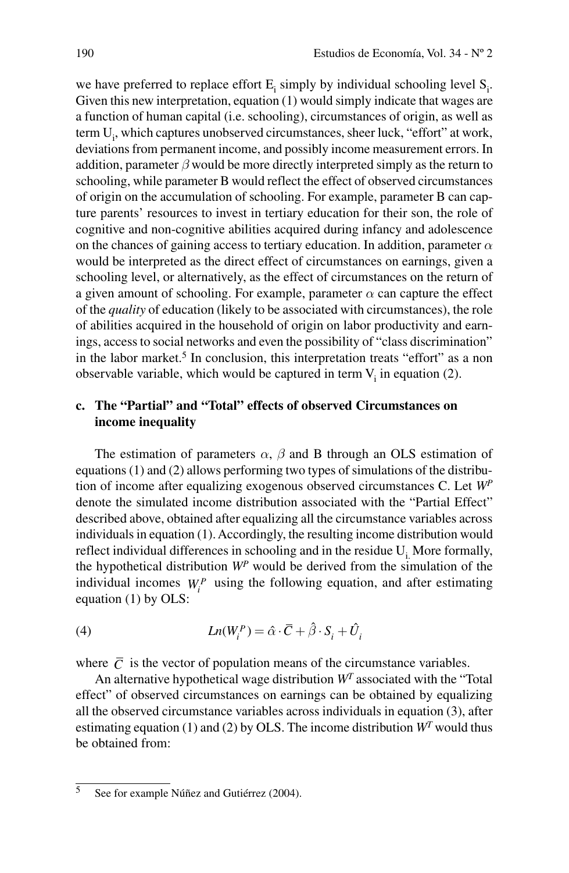we have preferred to replace effort  $E_i$  simply by individual schooling level  $S_i$ . Given this new interpretation, equation (1) would simply indicate that wages are a function of human capital (i.e. schooling), circumstances of origin, as well as term U<sub>i</sub>, which captures unobserved circumstances, sheer luck, "effort" at work, deviations from permanent income, and possibly income measurement errors. In addition, parameter  $\beta$  would be more directly interpreted simply as the return to schooling, while parameter B would reflect the effect of observed circumstances of origin on the accumulation of schooling. For example, parameter B can capture parents' resources to invest in tertiary education for their son, the role of cognitive and non-cognitive abilities acquired during infancy and adolescence on the chances of gaining access to tertiary education. In addition, parameter  $\alpha$ would be interpreted as the direct effect of circumstances on earnings, given a schooling level, or alternatively, as the effect of circumstances on the return of a given amount of schooling. For example, parameter  $\alpha$  can capture the effect of the *quality* of education (likely to be associated with circumstances), the role of abilities acquired in the household of origin on labor productivity and earnings, access to social networks and even the possibility of "class discrimination" in the labor market.<sup>5</sup> In conclusion, this interpretation treats "effort" as a non observable variable, which would be captured in term  $V_i$  in equation (2).

# **c. The "Partial" and "Total" effects of observed Circumstances on income inequality**

The estimation of parameters *α*, *β* and B through an OLS estimation of equations (1) and (2) allows performing two types of simulations of the distribution of income after equalizing exogenous observed circumstances C. Let *WP* denote the simulated income distribution associated with the "Partial Effect" described above, obtained after equalizing all the circumstance variables across individuals in equation (1). Accordingly, the resulting income distribution would reflect individual differences in schooling and in the residue  $U_i$ . More formally, the hypothetical distribution *WP* would be derived from the simulation of the individual incomes  $W_i^P$  using the following equation, and after estimating equation (1) by OLS:

(4) 
$$
Ln(W_i^P) = \hat{\alpha} \cdot \overline{C} + \hat{\beta} \cdot S_i + \hat{U}_i
$$

where  $\overline{C}$  is the vector of population means of the circumstance variables.

An alternative hypothetical wage distribution *WT* associated with the "Total effect" of observed circumstances on earnings can be obtained by equalizing all the observed circumstance variables across individuals in equation (3), after estimating equation (1) and (2) by OLS. The income distribution  $W<sup>T</sup>$  would thus be obtained from:

 $\frac{1}{5}$  See for example Núñez and Gutiérrez (2004).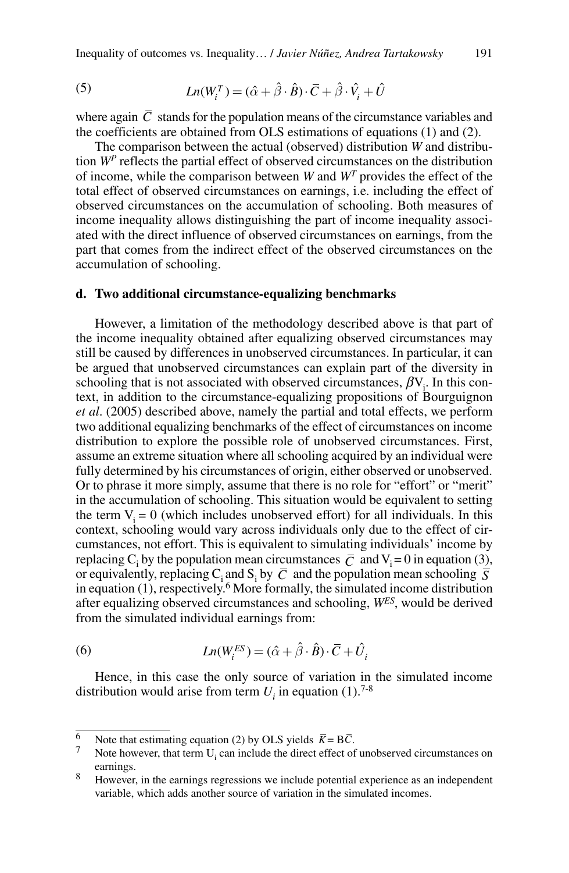(5) 
$$
Ln(W_i^T) = (\hat{\alpha} + \hat{\beta} \cdot \hat{B}) \cdot \bar{C} + \hat{\beta} \cdot \hat{V}_i + \hat{U}
$$

where again  $\overline{C}$  stands for the population means of the circumstance variables and the coefficients are obtained from OLS estimations of equations (1) and (2).

The comparison between the actual (observed) distribution *W* and distribution *WP* reflects the partial effect of observed circumstances on the distribution of income, while the comparison between *W* and *WT* provides the effect of the total effect of observed circumstances on earnings, i.e. including the effect of observed circumstances on the accumulation of schooling. Both measures of income inequality allows distinguishing the part of income inequality associated with the direct influence of observed circumstances on earnings, from the part that comes from the indirect effect of the observed circumstances on the accumulation of schooling.

# **d. Two additional circumstance-equalizing benchmarks**

However, a limitation of the methodology described above is that part of the income inequality obtained after equalizing observed circumstances may still be caused by differences in unobserved circumstances. In particular, it can be argued that unobserved circumstances can explain part of the diversity in schooling that is not associated with observed circumstances,  $\beta V_i$ . In this context, in addition to the circumstance-equalizing propositions of Bourguignon *et al*. (2005) described above, namely the partial and total effects, we perform two additional equalizing benchmarks of the effect of circumstances on income distribution to explore the possible role of unobserved circumstances. First, assume an extreme situation where all schooling acquired by an individual were fully determined by his circumstances of origin, either observed or unobserved. Or to phrase it more simply, assume that there is no role for "effort" or "merit" in the accumulation of schooling. This situation would be equivalent to setting the term  $V_i = 0$  (which includes unobserved effort) for all individuals. In this context, schooling would vary across individuals only due to the effect of circumstances, not effort. This is equivalent to simulating individuals' income by replacing C<sub>i</sub> by the population mean circumstances  $\overline{C}$  and V<sub>i</sub> = 0 in equation (3), or equivalently, replacing  $C_i$  and  $S_i$  by  $\overline{C}$  and the population mean schooling  $\overline{S}$ in equation  $(1)$ , respectively.<sup>6</sup> More formally, the simulated income distribution after equalizing observed circumstances and schooling, *WES*, would be derived from the simulated individual earnings from:

(6) 
$$
Ln(W_i^{ES}) = (\hat{\alpha} + \hat{\beta} \cdot \hat{B}) \cdot \overline{C} + \hat{U}_i
$$

Hence, in this case the only source of variation in the simulated income distribution would arise from term  $U_i$  in equation (1).<sup>7-8</sup>

<sup>&</sup>lt;sup>6</sup> Note that estimating equation (2) by OLS yields  $\overline{K} = B\overline{C}$ .

Note however, that term  $U_i$  can include the direct effect of unobserved circumstances on earnings.

<sup>&</sup>lt;sup>8</sup> However, in the earnings regressions we include potential experience as an independent variable, which adds another source of variation in the simulated incomes.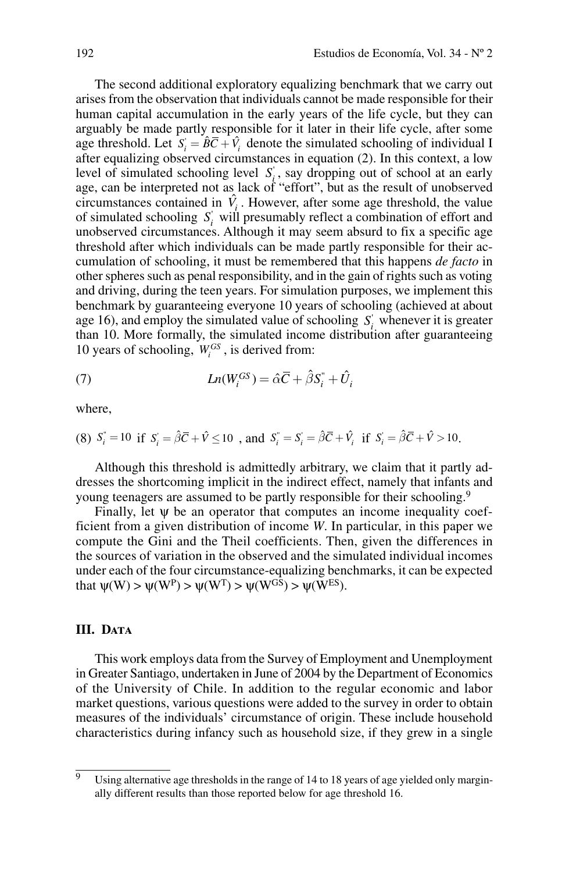The second additional exploratory equalizing benchmark that we carry out arises from the observation that individuals cannot be made responsible for their human capital accumulation in the early years of the life cycle, but they can arguably be made partly responsible for it later in their life cycle, after some age threshold. Let  $S_i = \hat{B}\overline{C} + \hat{V}_i$  denote the simulated schooling of individual I after equalizing observed circumstances in equation (2). In this context, a low level of simulated schooling level  $S_i$ , say dropping out of school at an early age, can be interpreted not as lack of "effort", but as the result of unobserved circumstances contained in  $\hat{V}_i$ . However, after some age threshold, the value of simulated schooling  $S_i$  will presumably reflect a combination of effort and unobserved circumstances. Although it may seem absurd to fix a specific age threshold after which individuals can be made partly responsible for their accumulation of schooling, it must be remembered that this happens *de facto* in other spheres such as penal responsibility, and in the gain of rights such as voting and driving, during the teen years. For simulation purposes, we implement this benchmark by guaranteeing everyone 10 years of schooling (achieved at about age 16), and employ the simulated value of schooling  $S_i$  whenever it is greater than 10. More formally, the simulated income distribution after guaranteeing 10 years of schooling,  $W_i^{GS}$ , is derived from:

(7) 
$$
Ln(W_i^{GS}) = \hat{\alpha}\bar{C} + \hat{\beta}S_i^+ + \hat{U}_i
$$

where,

(8) 
$$
S_i^* = 10
$$
 if  $S_i = \hat{\beta}\overline{C} + \hat{V} \le 10$ , and  $S_i^* = S_i = \hat{\beta}\overline{C} + \hat{V}_i$  if  $S_i = \hat{\beta}\overline{C} + \hat{V} > 10$ .

Although this threshold is admittedly arbitrary, we claim that it partly addresses the shortcoming implicit in the indirect effect, namely that infants and young teenagers are assumed to be partly responsible for their schooling.<sup>9</sup>

Finally, let  $\psi$  be an operator that computes an income inequality coefficient from a given distribution of income *W*. In particular, in this paper we compute the Gini and the Theil coefficients. Then, given the differences in the sources of variation in the observed and the simulated individual incomes under each of the four circumstance-equalizing benchmarks, it can be expected that  $\psi(W) > \psi(W^P) > \psi(W^T) > \psi(W^{GS}) > \psi(W^{ES})$ .

# **III.** DATA

This work employs data from the Survey of Employment and Unemployment in Greater Santiago, undertaken in June of 2004 by the Department of Economics of the University of Chile. In addition to the regular economic and labor market questions, various questions were added to the survey in order to obtain measures of the individuals' circumstance of origin. These include household characteristics during infancy such as household size, if they grew in a single

 $\overline{9}$  Using alternative age thresholds in the range of 14 to 18 years of age yielded only marginally different results than those reported below for age threshold 16.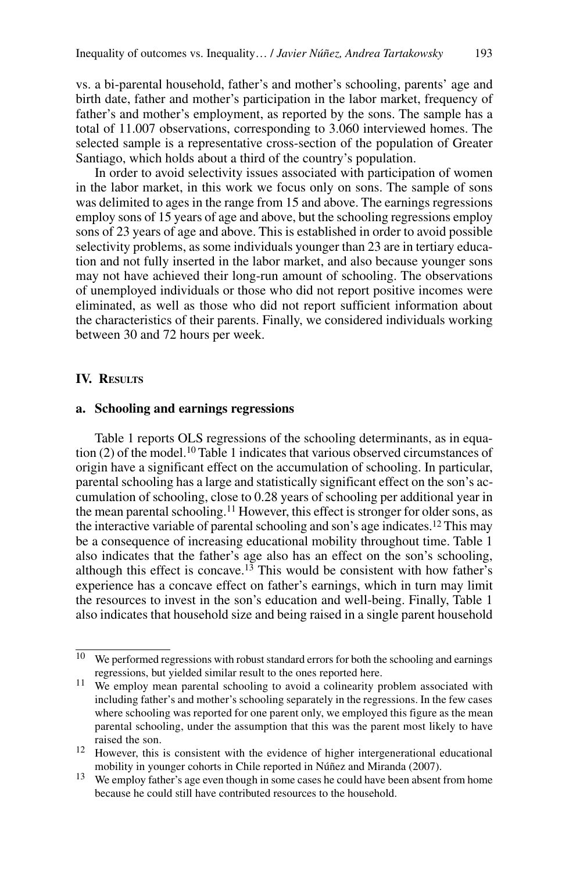vs. a bi-parental household, father's and mother's schooling, parents' age and birth date, father and mother's participation in the labor market, frequency of father's and mother's employment, as reported by the sons. The sample has a total of 11.007 observations, corresponding to 3.060 interviewed homes. The selected sample is a representative cross-section of the population of Greater Santiago, which holds about a third of the country's population.

In order to avoid selectivity issues associated with participation of women in the labor market, in this work we focus only on sons. The sample of sons was delimited to ages in the range from 15 and above. The earnings regressions employ sons of 15 years of age and above, but the schooling regressions employ sons of 23 years of age and above. This is established in order to avoid possible selectivity problems, as some individuals younger than 23 are in tertiary education and not fully inserted in the labor market, and also because younger sons may not have achieved their long-run amount of schooling. The observations of unemployed individuals or those who did not report positive incomes were eliminated, as well as those who did not report sufficient information about the characteristics of their parents. Finally, we considered individuals working between 30 and 72 hours per week.

# **IV. RESULTS**

### **a. Schooling and earnings regressions**

Table 1 reports OLS regressions of the schooling determinants, as in equation  $(2)$  of the model.<sup>10</sup> Table 1 indicates that various observed circumstances of origin have a significant effect on the accumulation of schooling. In particular, parental schooling has a large and statistically significant effect on the son's accumulation of schooling, close to 0.28 years of schooling per additional year in the mean parental schooling.<sup>11</sup> However, this effect is stronger for older sons, as the interactive variable of parental schooling and son's age indicates.12 This may be a consequence of increasing educational mobility throughout time. Table 1 also indicates that the father's age also has an effect on the son's schooling, although this effect is concave.<sup>13</sup> This would be consistent with how father's experience has a concave effect on father's earnings, which in turn may limit the resources to invest in the son's education and well-being. Finally, Table 1 also indicates that household size and being raised in a single parent household

 $\overline{10}$  We performed regressions with robust standard errors for both the schooling and earnings regressions, but yielded similar result to the ones reported here.

<sup>&</sup>lt;sup>11</sup> We employ mean parental schooling to avoid a colinearity problem associated with including father's and mother's schooling separately in the regressions. In the few cases where schooling was reported for one parent only, we employed this figure as the mean parental schooling, under the assumption that this was the parent most likely to have raised the son.

<sup>&</sup>lt;sup>12</sup> However, this is consistent with the evidence of higher intergenerational educational mobility in younger cohorts in Chile reported in Núñez and Miranda (2007).

<sup>&</sup>lt;sup>13</sup> We employ father's age even though in some cases he could have been absent from home because he could still have contributed resources to the household.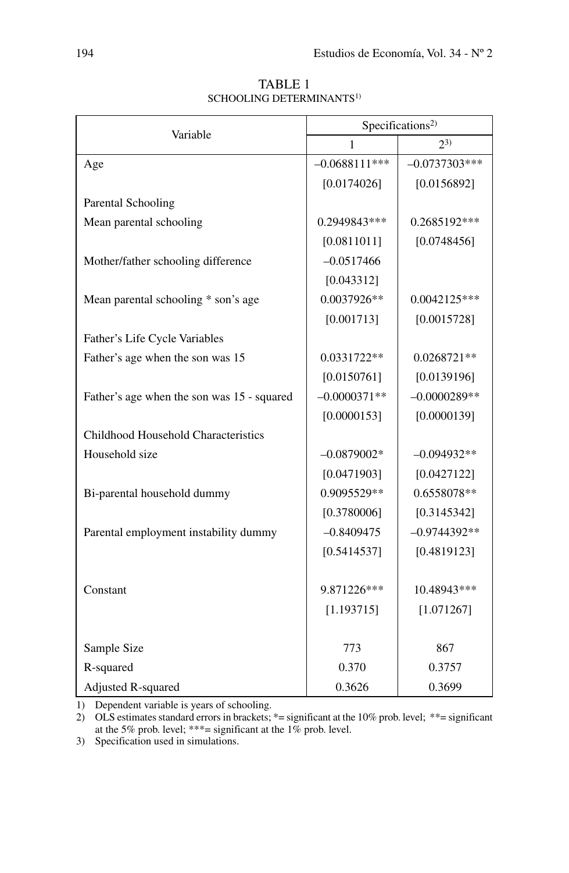| Variable                                   | Specifications <sup>2)</sup> |                 |  |  |
|--------------------------------------------|------------------------------|-----------------|--|--|
|                                            | 1                            | $2^{3}$         |  |  |
| Age                                        | $-0.0688111***$              | $-0.0737303***$ |  |  |
|                                            | [0.0174026]                  | [0.0156892]     |  |  |
| Parental Schooling                         |                              |                 |  |  |
| Mean parental schooling                    | 0.2949843***                 | 0.2685192***    |  |  |
|                                            | [0.0811011]                  | [0.0748456]     |  |  |
| Mother/father schooling difference         | $-0.0517466$                 |                 |  |  |
|                                            | [0.043312]                   |                 |  |  |
| Mean parental schooling * son's age        | 0.0037926**                  | $0.0042125***$  |  |  |
|                                            | [0.001713]                   | [0.0015728]     |  |  |
| Father's Life Cycle Variables              |                              |                 |  |  |
| Father's age when the son was 15           | 0.0331722**                  | 0.0268721**     |  |  |
|                                            | [0.0150761]                  | [0.0139196]     |  |  |
| Father's age when the son was 15 - squared | $-0.0000371**$               | $-0.0000289**$  |  |  |
|                                            | [0.0000153]                  | [0.0000139]     |  |  |
| Childhood Household Characteristics        |                              |                 |  |  |
| Household size                             | $-0.0879002*$                | $-0.094932**$   |  |  |
|                                            | [0.0471903]                  | [0.0427122]     |  |  |
| Bi-parental household dummy                | 0.9095529**                  | 0.6558078**     |  |  |
|                                            | [0.3780006]                  | [0.3145342]     |  |  |
| Parental employment instability dummy      | $-0.8409475$                 | $-0.9744392**$  |  |  |
|                                            | [0.5414537]                  | [0.4819123]     |  |  |
|                                            |                              |                 |  |  |
| Constant                                   | 9.871226***                  | 10.48943***     |  |  |
|                                            | [1.193715]                   | [1.071267]      |  |  |
|                                            |                              |                 |  |  |
| Sample Size                                | 773                          | 867             |  |  |
| R-squared                                  | 0.370                        | 0.3757          |  |  |
| Adjusted R-squared                         | 0.3626                       | 0.3699          |  |  |

TABLE 1 SCHOOLING DETERMINANTS<sup>1)</sup>

1) Dependent variable is years of schooling.

2) OLS estimates standard errors in brackets; \*= significant at the 10% prob. level; \*\*= significant at the 5% prob. level; \*\*\*= significant at the 1% prob. level.

3) Specification used in simulations.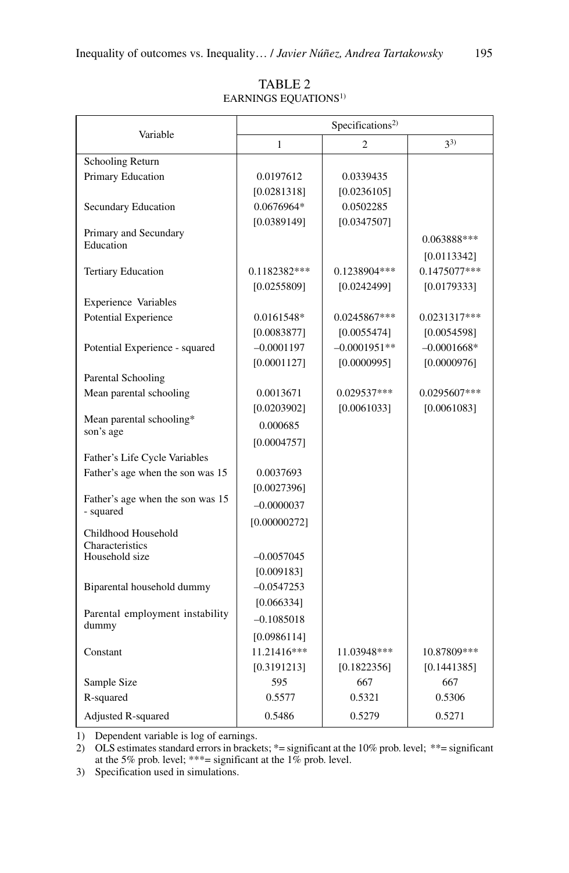|                                       | Specifications <sup>2)</sup> |                            |                            |  |  |
|---------------------------------------|------------------------------|----------------------------|----------------------------|--|--|
| Variable                              | 1                            | $\overline{c}$             | $3^{3)}$                   |  |  |
| Schooling Return                      |                              |                            |                            |  |  |
| Primary Education                     | 0.0197612                    | 0.0339435                  |                            |  |  |
|                                       | [0.0281318]                  | [0.0236105]                |                            |  |  |
| Secundary Education                   | 0.0676964*                   | 0.0502285                  |                            |  |  |
|                                       | [0.0389149]                  | [0.0347507]                |                            |  |  |
| Primary and Secundary<br>Education    |                              |                            | 0.063888***                |  |  |
|                                       |                              |                            | [0.0113342]                |  |  |
| <b>Tertiary Education</b>             | 0.1182382***                 | 0.1238904***               | 0.1475077***               |  |  |
|                                       | [0.0255809]                  | [0.0242499]                | [0.0179333]                |  |  |
| <b>Experience Variables</b>           |                              |                            |                            |  |  |
| <b>Potential Experience</b>           | 0.0161548*                   | 0.0245867***               | $0.0231317***$             |  |  |
|                                       | [0.0083877]                  | [0.0055474]                | [0.0054598]                |  |  |
| Potential Experience - squared        | $-0.0001197$                 | $-0.0001951**$             | $-0.0001668*$              |  |  |
|                                       | [0.0001127]                  | [0.0000995]                | [0.0000976]                |  |  |
| Parental Schooling                    |                              |                            |                            |  |  |
| Mean parental schooling               | 0.0013671                    | 0.029537***                | $0.0295607***$             |  |  |
|                                       | [0.0203902]                  | [0.0061033]                | [0.0061083]                |  |  |
| Mean parental schooling*<br>son's age | 0.000685                     |                            |                            |  |  |
|                                       | [0.0004757]                  |                            |                            |  |  |
| Father's Life Cycle Variables         |                              |                            |                            |  |  |
| Father's age when the son was 15      | 0.0037693                    |                            |                            |  |  |
|                                       | [0.0027396]                  |                            |                            |  |  |
| Father's age when the son was 15      | $-0.0000037$                 |                            |                            |  |  |
| - squared                             | [0.00000272]                 |                            |                            |  |  |
| Childhood Household                   |                              |                            |                            |  |  |
| Characteristics<br>Household size     | $-0.0057045$                 |                            |                            |  |  |
|                                       | [0.009183]                   |                            |                            |  |  |
| Biparental household dummy            | $-0.0547253$                 |                            |                            |  |  |
|                                       | [0.066334]                   |                            |                            |  |  |
| Parental employment instability       | $-0.1085018$                 |                            |                            |  |  |
| dummy                                 |                              |                            |                            |  |  |
|                                       | [0.0986114]<br>11.21416***   |                            |                            |  |  |
| Constant                              | [0.3191213]                  | 11.03948***<br>[0.1822356] | 10.87809***<br>[0.1441385] |  |  |
| Sample Size                           | 595                          | 667                        | 667                        |  |  |
| R-squared                             | 0.5577                       | 0.5321                     | 0.5306                     |  |  |
|                                       |                              |                            |                            |  |  |
| <b>Adjusted R-squared</b>             | 0.5486                       | 0.5279                     | 0.5271                     |  |  |

TABLE<sub>2</sub> Earnings Equations1)

1) Dependent variable is log of earnings.

2) OLS estimates standard errors in brackets; \*= significant at the 10% prob. level; \*\*= significant at the 5% prob. level; \*\*\*= significant at the 1% prob. level.

3) Specification used in simulations.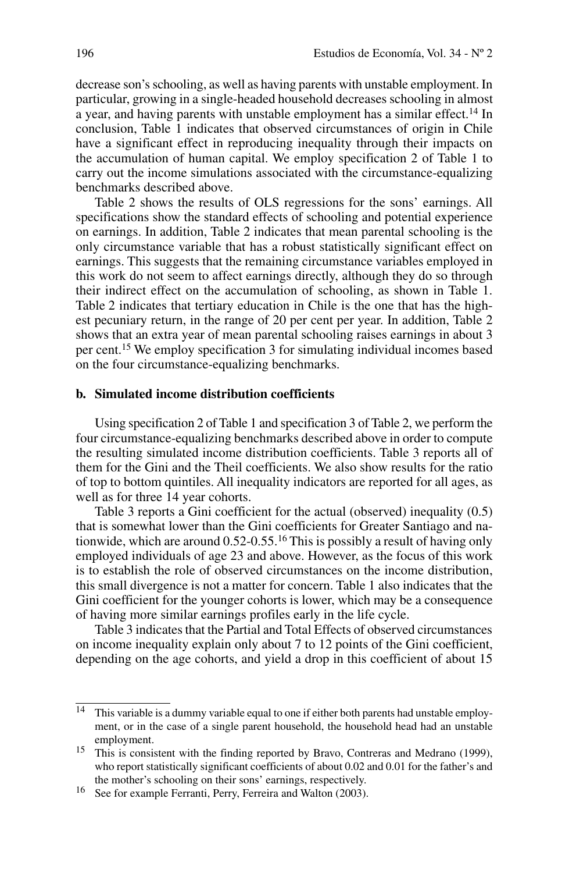decrease son's schooling, as well as having parents with unstable employment. In particular, growing in a single-headed household decreases schooling in almost a year, and having parents with unstable employment has a similar effect.<sup>14</sup> In conclusion, Table 1 indicates that observed circumstances of origin in Chile have a significant effect in reproducing inequality through their impacts on the accumulation of human capital. We employ specification 2 of Table 1 to carry out the income simulations associated with the circumstance-equalizing benchmarks described above.

Table 2 shows the results of OLS regressions for the sons' earnings. All specifications show the standard effects of schooling and potential experience on earnings. In addition, Table 2 indicates that mean parental schooling is the only circumstance variable that has a robust statistically significant effect on earnings. This suggests that the remaining circumstance variables employed in this work do not seem to affect earnings directly, although they do so through their indirect effect on the accumulation of schooling, as shown in Table 1. Table 2 indicates that tertiary education in Chile is the one that has the highest pecuniary return, in the range of 20 per cent per year. In addition, Table 2 shows that an extra year of mean parental schooling raises earnings in about 3 per cent.15 We employ specification 3 for simulating individual incomes based on the four circumstance-equalizing benchmarks.

### **b. Simulated income distribution coefficients**

Using specification 2 of Table 1 and specification 3 of Table 2, we perform the four circumstance-equalizing benchmarks described above in order to compute the resulting simulated income distribution coefficients. Table 3 reports all of them for the Gini and the Theil coefficients. We also show results for the ratio of top to bottom quintiles. All inequality indicators are reported for all ages, as well as for three 14 year cohorts.

Table 3 reports a Gini coefficient for the actual (observed) inequality (0.5) that is somewhat lower than the Gini coefficients for Greater Santiago and nationwide, which are around 0.52-0.55.16 This is possibly a result of having only employed individuals of age 23 and above. However, as the focus of this work is to establish the role of observed circumstances on the income distribution, this small divergence is not a matter for concern. Table 1 also indicates that the Gini coefficient for the younger cohorts is lower, which may be a consequence of having more similar earnings profiles early in the life cycle.

Table 3 indicates that the Partial and Total Effects of observed circumstances on income inequality explain only about 7 to 12 points of the Gini coefficient, depending on the age cohorts, and yield a drop in this coefficient of about 15

 $\frac{14}{14}$  This variable is a dummy variable equal to one if either both parents had unstable employment, or in the case of a single parent household, the household head had an unstable employment.

<sup>&</sup>lt;sup>15</sup> This is consistent with the finding reported by Bravo, Contreras and Medrano (1999), who report statistically significant coefficients of about 0.02 and 0.01 for the father's and the mother's schooling on their sons' earnings, respectively.

<sup>16</sup> See for example Ferranti, Perry, Ferreira and Walton (2003).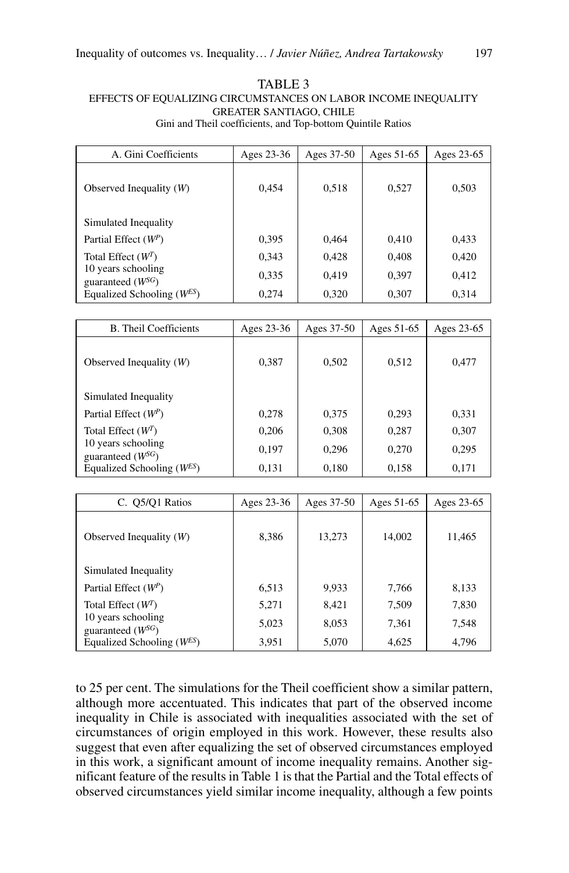### TABLE<sub>3</sub> Effects of Equalizing Circumstances on Labor Income Inequality Greater Santiago, Chile Gini and Theil coefficients, and Top-bottom Quintile Ratios

| A. Gini Coefficients                        | Ages 23-36 | Ages 37-50 | Ages 51-65 | Ages 23-65 |
|---------------------------------------------|------------|------------|------------|------------|
| Observed Inequality $(W)$                   | 0.454      | 0.518      | 0,527      | 0,503      |
| Simulated Inequality                        |            |            |            |            |
| Partial Effect $(W^P)$                      | 0.395      | 0,464      | 0,410      | 0,433      |
| Total Effect $(W^T)$                        | 0.343      | 0,428      | 0,408      | 0,420      |
| 10 years schooling<br>guaranteed $(W^{SG})$ | 0,335      | 0,419      | 0,397      | 0,412      |
| Equalized Schooling $(W^{ES})$              | 0.274      | 0,320      | 0,307      | 0,314      |

| <b>B.</b> Theil Coefficients                | Ages 23-36 | Ages 37-50 | Ages 51-65 | Ages 23-65 |
|---------------------------------------------|------------|------------|------------|------------|
| Observed Inequality $(W)$                   | 0.387      | 0,502      | 0,512      | 0,477      |
| Simulated Inequality                        |            |            |            |            |
| Partial Effect $(W^P)$                      | 0.278      | 0,375      | 0.293      | 0,331      |
| Total Effect $(W^T)$                        | 0.206      | 0,308      | 0,287      | 0,307      |
| 10 years schooling<br>guaranteed $(W^{SG})$ | 0.197      | 0,296      | 0,270      | 0,295      |
| Equalized Schooling $(W^{ES})$              | 0,131      | 0,180      | 0,158      | 0,171      |

| C. Q5/Q1 Ratios                             | Ages 23-36 | Ages 37-50 | Ages 51-65 | Ages 23-65 |
|---------------------------------------------|------------|------------|------------|------------|
| Observed Inequality $(W)$                   | 8,386      | 13,273     | 14,002     | 11,465     |
| Simulated Inequality                        |            |            |            |            |
| Partial Effect $(W^P)$                      | 6,513      | 9,933      | 7,766      | 8,133      |
| Total Effect $(W^T)$                        | 5.271      | 8,421      | 7,509      | 7,830      |
| 10 years schooling<br>guaranteed $(W^{SG})$ | 5,023      | 8,053      | 7,361      | 7,548      |
| Equalized Schooling $(W^{ES})$              | 3,951      | 5,070      | 4,625      | 4,796      |

to 25 per cent. The simulations for the Theil coefficient show a similar pattern, although more accentuated. This indicates that part of the observed income inequality in Chile is associated with inequalities associated with the set of circumstances of origin employed in this work. However, these results also suggest that even after equalizing the set of observed circumstances employed in this work, a significant amount of income inequality remains. Another significant feature of the results in Table 1 is that the Partial and the Total effects of observed circumstances yield similar income inequality, although a few points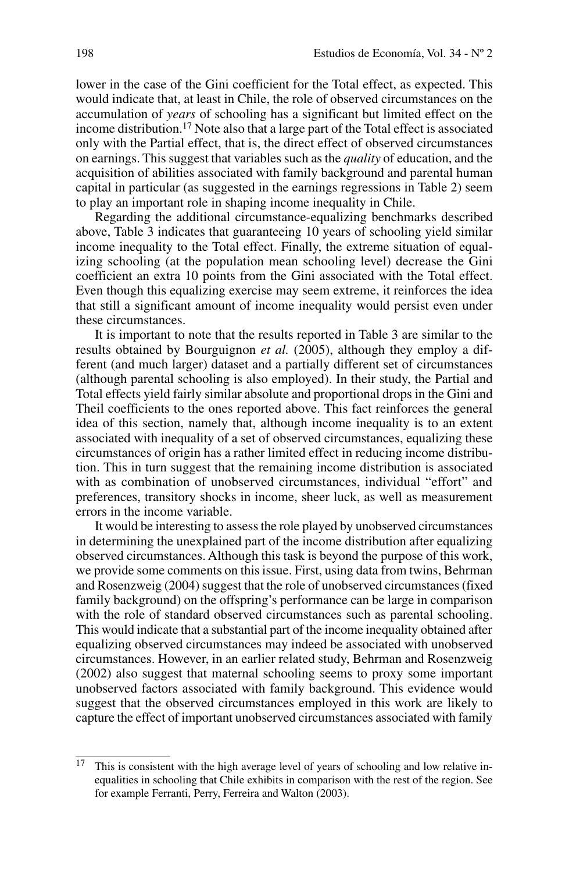lower in the case of the Gini coefficient for the Total effect, as expected. This would indicate that, at least in Chile, the role of observed circumstances on the accumulation of *years* of schooling has a significant but limited effect on the income distribution.17 Note also that a large part of the Total effect is associated only with the Partial effect, that is, the direct effect of observed circumstances on earnings. This suggest that variables such as the *quality* of education, and the acquisition of abilities associated with family background and parental human capital in particular (as suggested in the earnings regressions in Table 2) seem to play an important role in shaping income inequality in Chile.

Regarding the additional circumstance-equalizing benchmarks described above, Table 3 indicates that guaranteeing 10 years of schooling yield similar income inequality to the Total effect. Finally, the extreme situation of equalizing schooling (at the population mean schooling level) decrease the Gini coefficient an extra 10 points from the Gini associated with the Total effect. Even though this equalizing exercise may seem extreme, it reinforces the idea that still a significant amount of income inequality would persist even under these circumstances.

It is important to note that the results reported in Table 3 are similar to the results obtained by Bourguignon *et al.* (2005), although they employ a different (and much larger) dataset and a partially different set of circumstances (although parental schooling is also employed). In their study, the Partial and Total effects yield fairly similar absolute and proportional drops in the Gini and Theil coefficients to the ones reported above. This fact reinforces the general idea of this section, namely that, although income inequality is to an extent associated with inequality of a set of observed circumstances, equalizing these circumstances of origin has a rather limited effect in reducing income distribution. This in turn suggest that the remaining income distribution is associated with as combination of unobserved circumstances, individual "effort" and preferences, transitory shocks in income, sheer luck, as well as measurement errors in the income variable.

It would be interesting to assess the role played by unobserved circumstances in determining the unexplained part of the income distribution after equalizing observed circumstances. Although this task is beyond the purpose of this work, we provide some comments on this issue. First, using data from twins, Behrman and Rosenzweig (2004) suggest that the role of unobserved circumstances (fixed family background) on the offspring's performance can be large in comparison with the role of standard observed circumstances such as parental schooling. This would indicate that a substantial part of the income inequality obtained after equalizing observed circumstances may indeed be associated with unobserved circumstances. However, in an earlier related study, Behrman and Rosenzweig (2002) also suggest that maternal schooling seems to proxy some important unobserved factors associated with family background. This evidence would suggest that the observed circumstances employed in this work are likely to capture the effect of important unobserved circumstances associated with family

 $17$  This is consistent with the high average level of years of schooling and low relative inequalities in schooling that Chile exhibits in comparison with the rest of the region. See for example Ferranti, Perry, Ferreira and Walton (2003).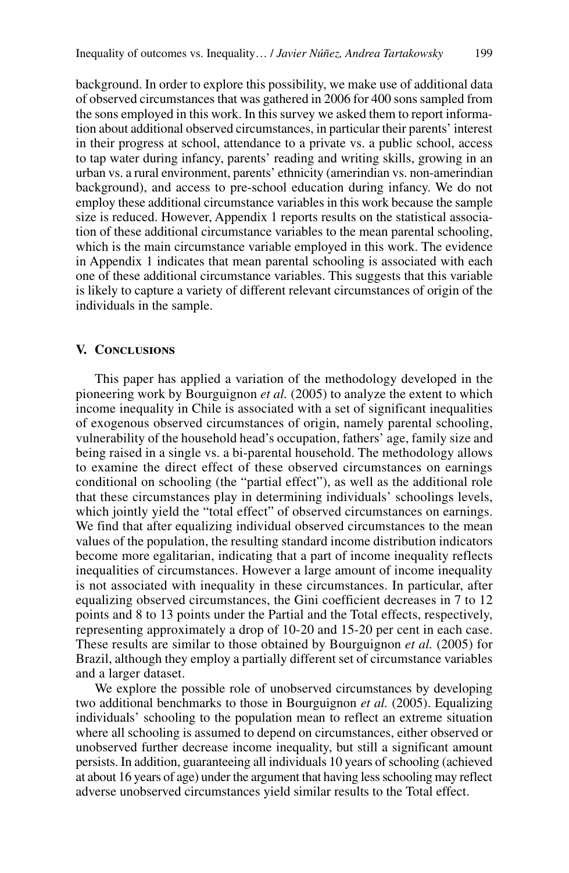background. In order to explore this possibility, we make use of additional data of observed circumstances that was gathered in 2006 for 400 sons sampled from the sons employed in this work. In this survey we asked them to report information about additional observed circumstances, in particular their parents' interest in their progress at school, attendance to a private vs. a public school, access to tap water during infancy, parents' reading and writing skills, growing in an urban vs. a rural environment, parents' ethnicity (amerindian vs. non-amerindian background), and access to pre-school education during infancy. We do not employ these additional circumstance variables in this work because the sample size is reduced. However, Appendix 1 reports results on the statistical association of these additional circumstance variables to the mean parental schooling, which is the main circumstance variable employed in this work. The evidence in Appendix 1 indicates that mean parental schooling is associated with each one of these additional circumstance variables. This suggests that this variable is likely to capture a variety of different relevant circumstances of origin of the individuals in the sample.

# **V. Conclusions**

This paper has applied a variation of the methodology developed in the pioneering work by Bourguignon *et al.* (2005) to analyze the extent to which income inequality in Chile is associated with a set of significant inequalities of exogenous observed circumstances of origin, namely parental schooling, vulnerability of the household head's occupation, fathers' age, family size and being raised in a single vs. a bi-parental household. The methodology allows to examine the direct effect of these observed circumstances on earnings conditional on schooling (the "partial effect"), as well as the additional role that these circumstances play in determining individuals' schoolings levels, which jointly yield the "total effect" of observed circumstances on earnings. We find that after equalizing individual observed circumstances to the mean values of the population, the resulting standard income distribution indicators become more egalitarian, indicating that a part of income inequality reflects inequalities of circumstances. However a large amount of income inequality is not associated with inequality in these circumstances. In particular, after equalizing observed circumstances, the Gini coefficient decreases in 7 to 12 points and 8 to 13 points under the Partial and the Total effects, respectively, representing approximately a drop of 10-20 and 15-20 per cent in each case. These results are similar to those obtained by Bourguignon *et al.* (2005) for Brazil, although they employ a partially different set of circumstance variables and a larger dataset.

We explore the possible role of unobserved circumstances by developing two additional benchmarks to those in Bourguignon *et al.* (2005). Equalizing individuals' schooling to the population mean to reflect an extreme situation where all schooling is assumed to depend on circumstances, either observed or unobserved further decrease income inequality, but still a significant amount persists. In addition, guaranteeing all individuals 10 years of schooling (achieved at about 16 years of age) under the argument that having less schooling may reflect adverse unobserved circumstances yield similar results to the Total effect.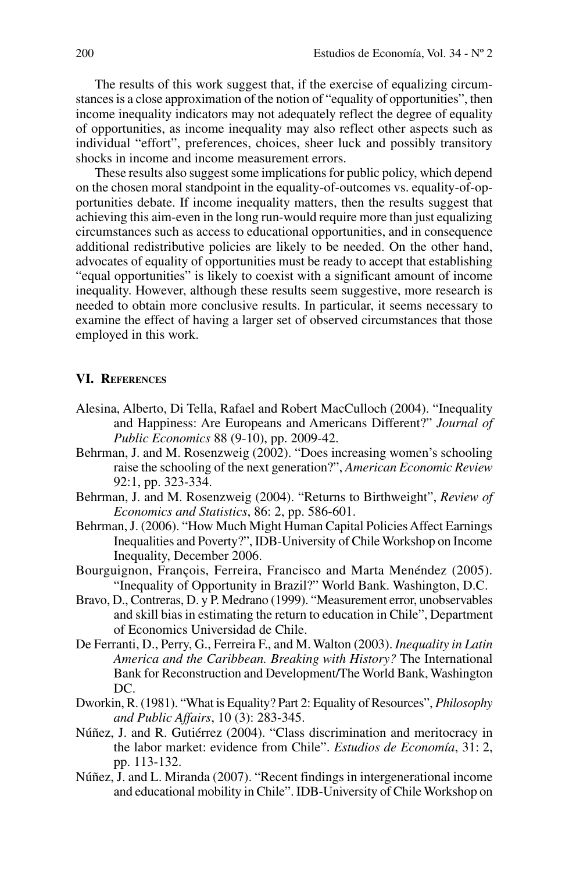The results of this work suggest that, if the exercise of equalizing circumstances is a close approximation of the notion of "equality of opportunities", then income inequality indicators may not adequately reflect the degree of equality of opportunities, as income inequality may also reflect other aspects such as individual "effort", preferences, choices, sheer luck and possibly transitory shocks in income and income measurement errors.

These results also suggest some implications for public policy, which depend on the chosen moral standpoint in the equality-of-outcomes vs. equality-of-opportunities debate. If income inequality matters, then the results suggest that achieving this aim-even in the long run-would require more than just equalizing circumstances such as access to educational opportunities, and in consequence additional redistributive policies are likely to be needed. On the other hand, advocates of equality of opportunities must be ready to accept that establishing "equal opportunities" is likely to coexist with a significant amount of income inequality. However, although these results seem suggestive, more research is needed to obtain more conclusive results. In particular, it seems necessary to examine the effect of having a larger set of observed circumstances that those employed in this work.

### **VI. References**

- Alesina, Alberto, Di Tella, Rafael and Robert MacCulloch (2004). "Inequality and Happiness: Are Europeans and Americans Different?" *Journal of Public Economics* 88 (9-10), pp. 2009-42.
- Behrman, J. and M. Rosenzweig (2002). "Does increasing women's schooling raise the schooling of the next generation?", *American Economic Review* 92:1, pp. 323-334.
- Behrman, J. and M. Rosenzweig (2004). "Returns to Birthweight", *Review of Economics and Statistics*, 86: 2, pp. 586-601.
- Behrman, J. (2006). "How Much Might Human Capital Policies Affect Earnings Inequalities and Poverty?", IDB-University of Chile Workshop on Income Inequality, December 2006.
- Bourguignon, François, Ferreira, Francisco and Marta Menéndez (2005). "Inequality of Opportunity in Brazil?" World Bank. Washington, D.C.
- Bravo, D., Contreras, D. y P. Medrano (1999). "Measurement error, unobservables and skill bias in estimating the return to education in Chile", Department of Economics Universidad de Chile.
- De Ferranti, D., Perry, G., Ferreira F., and M. Walton (2003). *Inequality in Latin America and the Caribbean. Breaking with History?* The International Bank for Reconstruction and Development/The World Bank, Washington DC.
- Dworkin, R. (1981). "What is Equality? Part 2: Equality of Resources", *Philosophy and Public Affairs*, 10 (3): 283-345.
- Núñez, J. and R. Gutiérrez (2004). "Class discrimination and meritocracy in the labor market: evidence from Chile". *Estudios de Economía*, 31: 2, pp. 113-132.
- Núñez, J. and L. Miranda (2007). "Recent findings in intergenerational income and educational mobility in Chile". IDB-University of Chile Workshop on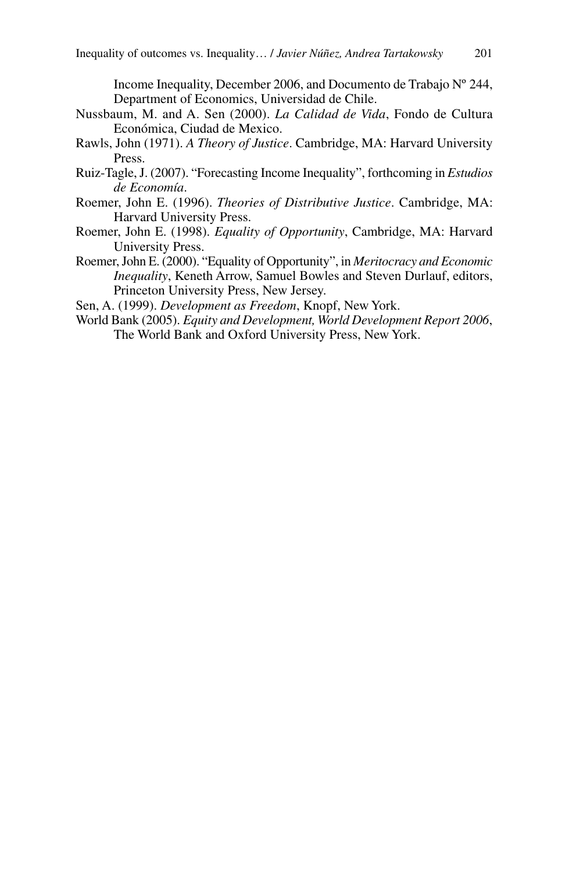Income Inequality, December 2006, and Documento de Trabajo Nº 244, Department of Economics, Universidad de Chile.

- Nussbaum, M. and A. Sen (2000). *La Calidad de Vida*, Fondo de Cultura Económica, Ciudad de Mexico.
- Rawls, John (1971). *A Theory of Justice*. Cambridge, MA: Harvard University Press.
- Ruiz-Tagle, J. (2007). "Forecasting Income Inequality", forthcoming in *Estudios de Economía*.
- Roemer, John E. (1996). *Theories of Distributive Justice*. Cambridge, MA: Harvard University Press.
- Roemer, John E. (1998). *Equality of Opportunity*, Cambridge, MA: Harvard University Press.
- Roemer, John E. (2000). "Equality of Opportunity", in *Meritocracy and Economic Inequality*, Keneth Arrow, Samuel Bowles and Steven Durlauf, editors, Princeton University Press, New Jersey.
- Sen, A. (1999). *Development as Freedom*, Knopf, New York.
- World Bank (2005). *Equity and Development, World Development Report 2006*, The World Bank and Oxford University Press, New York.